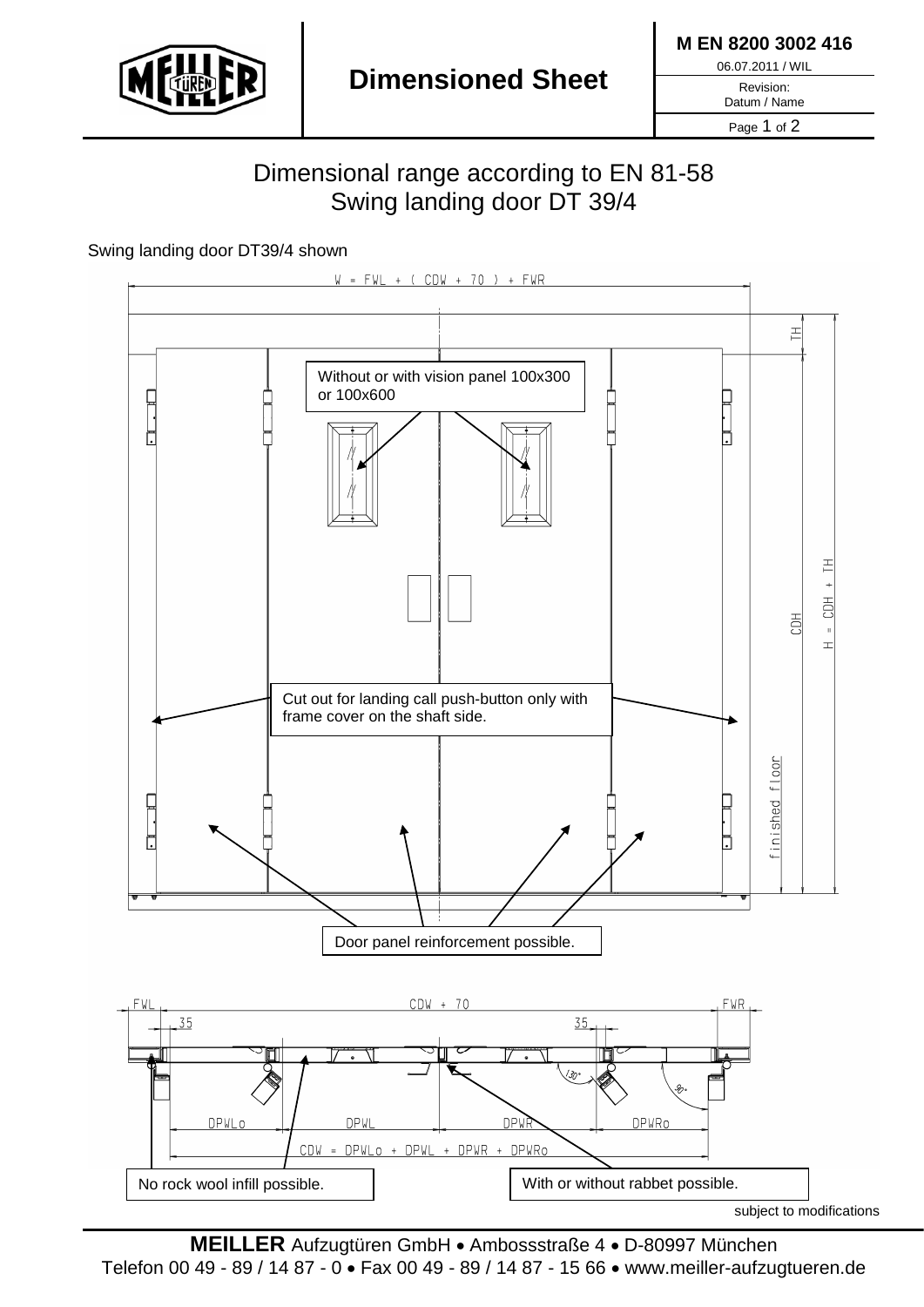

**M EN 8200 3002 416**

06.07.2011 / WIL

Revision:

Datum / Name Page 1 of 2

## Dimensional range according to EN 81-58 Swing landing door DT 39/4

## Swing landing door DT39/4 shown



**MEILLER** Aufzugtüren GmbH • Ambossstraße 4 • D-80997 München Telefon 00 49 - 89 / 14 87 - 0 • Fax 00 49 - 89 / 14 87 - 15 66 • www.meiller-aufzugtueren.de